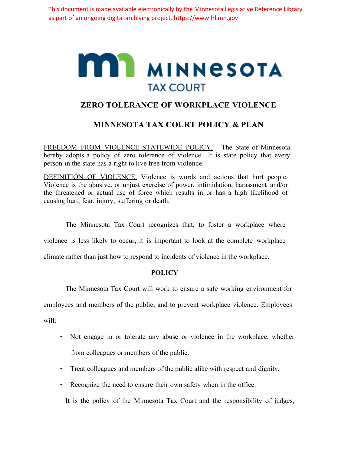This document is made available electronically by the Minnesota Legislative Reference Library as part of an ongoing digital archiving project. https://www.lrl.mn.gov

## **MIL MINNESOTA TAX COURT**

## **ZERO TOLERANCE OF WORKPLACE VIOLENCE**

## **MINNESOTA TAX COURT POLICY & PLAN**

FREEDOM FROM VIOLENCE STATEWIDE POLICY. The State of Minnesota hereby adopts a policy of zero tolerance of violence. It is state policy that every person in the state has a right to live free from violence.

DEFINITION OF VIOLENCE. Violence is words and actions that hurt people. Violence is the abusive. or unjust exercise of power, intimidation, harassment and/or the threatened or actual use of force which results in or has a high likelihood of causing hurt, fear, injury, suffering or death.

The Minnesota Tax Court recognizes that, to foster a workplace where violence is less likely to occur, it is important to look at the complete workplace climate rather than just how to respond to incidents of violence in the workplace.

## **POLICY**

The Minnesota Tax Court will work to ensure a safe working environment for employees and members of the public, and to prevent workplace violence. Employees will:

- Not engage in or tolerate any abuse or violence in the workplace, whether from colleagues or members of the public.
- Treat colleagues and members of the public alike with respect and dignity.
- Recognize the need to ensure their own safety when in the office.

It is the policy of the Minnesota Tax Court and the responsibility of judges,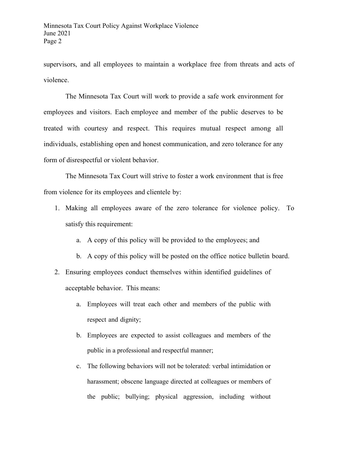supervisors, and all employees to maintain a workplace free from threats and acts of violence.

The Minnesota Tax Court will work to provide a safe work environment for employees and visitors. Each employee and member of the public deserves to be treated with courtesy and respect. This requires mutual respect among all individuals, establishing open and honest communication, and zero tolerance for any form of disrespectful or violent behavior.

The Minnesota Tax Court will strive to foster a work environment that is free from violence for its employees and clientele by:

- 1. Making all employees aware of the zero tolerance for violence policy. To satisfy this requirement:
	- a. A copy of this policy will be provided to the employees; and
	- b. A copy of this policy will be posted on the office notice bulletin board.
- 2. Ensuring employees conduct themselves within identified guidelines of acceptable behavior. This means:
	- a. Employees will treat each other and members of the public with respect and dignity;
	- b. Employees are expected to assist colleagues and members of the public in a professional and respectful manner;
	- c. The following behaviors will not be tolerated: verbal intimidation or harassment; obscene language directed at colleagues or members of the public; bullying; physical aggression, including without